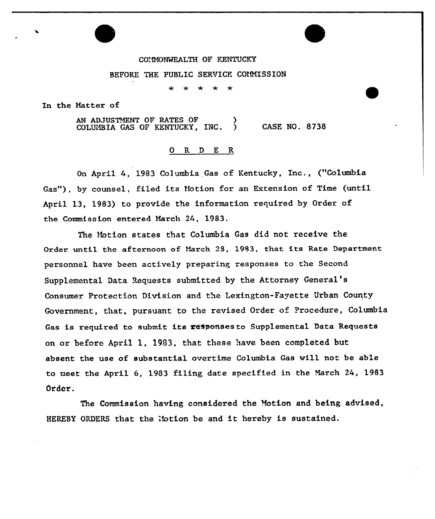## CO'MONWEALTH OF KENTUCKY

## BEFORE THE PUBLIC SERVICE COMMISSION

In the Hatter of

AN ADJUSTMENT OF RATES OF (3) COLUMBIA GAS OF KENTUCKY, INC. 5 CASE NO. 8738

## ORDER

On April 4, <sup>1983</sup> Columbia Gas of Kentucky, Inc., ("Columbia Gas"), by counsel, filed its Notion for an Extension of Time (until Apxil 13, 1983) to provide the infoxmation xequired by Oxdex of the Commission entered March 24, 1983.

The Motion states that Columbia Gas did not receive the Order until the afternoon of March 28, 1983, that its Rate Department personnel have been actively preparing xesponses to the Second Supplemental Data Requests submitted by the Attorney General' Consumer Protection Division and the Lexington-Fayette Urban County Government, that, pursuant to the revised Order of Procedure, Columbia Gas is required to submit its responses to Supplemental Data Requests on or before April 1, 1983, that these have been completed but absent the use of substantial overtime Columbia Gas will not be able to meet the April 6, 1983 filing date specified in the March 24, 1983 Order.

The Commission having considered the Notion and being advised, HEREBY ORDERS that the 'fotion be and it hereby is sustained.